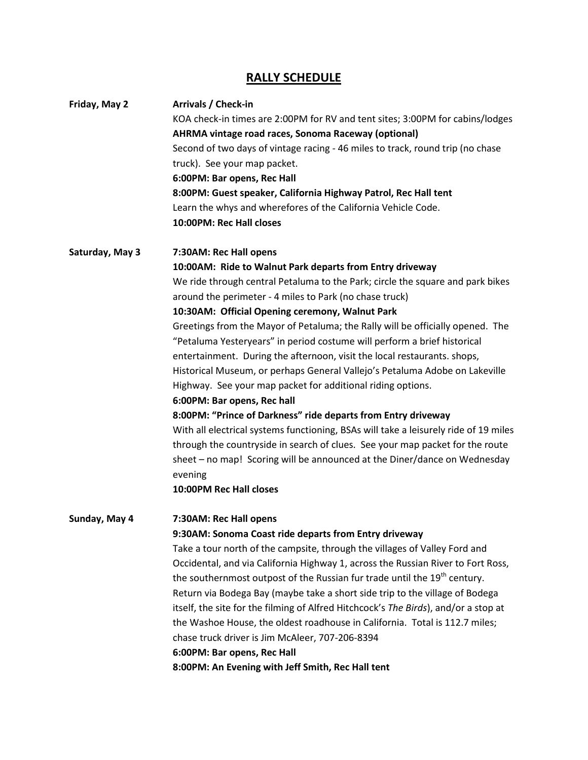# **RALLY SCHEDULE**

| Friday, May 2   | Arrivals / Check-in                                                                   |
|-----------------|---------------------------------------------------------------------------------------|
|                 | KOA check-in times are 2:00PM for RV and tent sites; 3:00PM for cabins/lodges         |
|                 | AHRMA vintage road races, Sonoma Raceway (optional)                                   |
|                 | Second of two days of vintage racing - 46 miles to track, round trip (no chase        |
|                 | truck). See your map packet.                                                          |
|                 | 6:00PM: Bar opens, Rec Hall                                                           |
|                 | 8:00PM: Guest speaker, California Highway Patrol, Rec Hall tent                       |
|                 | Learn the whys and wherefores of the California Vehicle Code.                         |
|                 | 10:00PM: Rec Hall closes                                                              |
| Saturday, May 3 | 7:30AM: Rec Hall opens                                                                |
|                 | 10:00AM: Ride to Walnut Park departs from Entry driveway                              |
|                 | We ride through central Petaluma to the Park; circle the square and park bikes        |
|                 | around the perimeter - 4 miles to Park (no chase truck)                               |
|                 | 10:30AM: Official Opening ceremony, Walnut Park                                       |
|                 | Greetings from the Mayor of Petaluma; the Rally will be officially opened. The        |
|                 | "Petaluma Yesteryears" in period costume will perform a brief historical              |
|                 | entertainment. During the afternoon, visit the local restaurants. shops,              |
|                 | Historical Museum, or perhaps General Vallejo's Petaluma Adobe on Lakeville           |
|                 | Highway. See your map packet for additional riding options.                           |
|                 | 6:00PM: Bar opens, Rec hall                                                           |
|                 | 8:00PM: "Prince of Darkness" ride departs from Entry driveway                         |
|                 | With all electrical systems functioning, BSAs will take a leisurely ride of 19 miles  |
|                 | through the countryside in search of clues. See your map packet for the route         |
|                 | sheet - no map! Scoring will be announced at the Diner/dance on Wednesday             |
|                 | evening                                                                               |
|                 | 10:00PM Rec Hall closes                                                               |
| Sunday, May 4   | 7:30AM: Rec Hall opens                                                                |
|                 | 9:30AM: Sonoma Coast ride departs from Entry driveway                                 |
|                 | Take a tour north of the campsite, through the villages of Valley Ford and            |
|                 | Occidental, and via California Highway 1, across the Russian River to Fort Ross,      |
|                 | the southernmost outpost of the Russian fur trade until the 19 <sup>th</sup> century. |
|                 | Return via Bodega Bay (maybe take a short side trip to the village of Bodega          |
|                 | itself, the site for the filming of Alfred Hitchcock's The Birds), and/or a stop at   |
|                 | the Washoe House, the oldest roadhouse in California. Total is 112.7 miles;           |
|                 | chase truck driver is Jim McAleer, 707-206-8394                                       |
|                 | 6:00PM: Bar opens, Rec Hall                                                           |
|                 | 8:00PM: An Evening with Jeff Smith, Rec Hall tent                                     |
|                 |                                                                                       |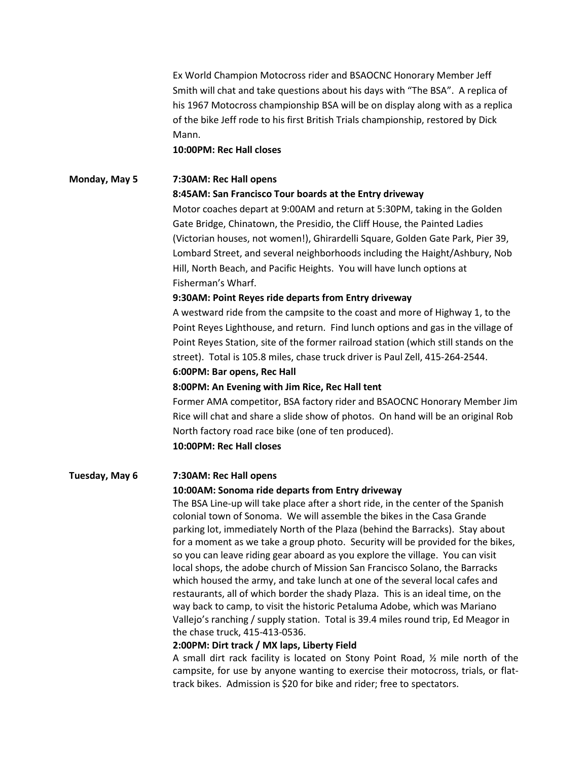Ex World Champion Motocross rider and BSAOCNC Honorary Member Jeff Smith will chat and take questions about his days with "The BSA". A replica of his 1967 Motocross championship BSA will be on display along with as a replica of the bike Jeff rode to his first British Trials championship, restored by Dick Mann.

 **10:00PM: Rec Hall closes** 

# **Monday, May 5 7:30AM: Rec Hall opens**

**8:45AM: San Francisco Tour boards at the Entry driveway** 

Motor coaches depart at 9:00AM and return at 5:30PM, taking in the Golden Gate Bridge, Chinatown, the Presidio, the Cliff House, the Painted Ladies (Victorian houses, not women!), Ghirardelli Square, Golden Gate Park, Pier 39, Lombard Street, and several neighborhoods including the Haight/Ashbury, Nob Hill, North Beach, and Pacific Heights. You will have lunch options at Fisherman's Wharf.

#### **9:30AM: Point Reyes ride departs from Entry driveway**

A westward ride from the campsite to the coast and more of Highway 1, to the Point Reyes Lighthouse, and return. Find lunch options and gas in the village of Point Reyes Station, site of the former railroad station (which still stands on the street). Total is 105.8 miles, chase truck driver is Paul Zell, 415-264-2544.

#### **6:00PM: Bar opens, Rec Hall**

#### **8:00PM: An Evening with Jim Rice, Rec Hall tent**

Former AMA competitor, BSA factory rider and BSAOCNC Honorary Member Jim Rice will chat and share a slide show of photos. On hand will be an original Rob North factory road race bike (one of ten produced). **10:00PM: Rec Hall closes** 

#### **Tuesday, May 6 7:30AM: Rec Hall opens**

#### **10:00AM: Sonoma ride departs from Entry driveway**

The BSA Line-up will take place after a short ride, in the center of the Spanish colonial town of Sonoma. We will assemble the bikes in the Casa Grande parking lot, immediately North of the Plaza (behind the Barracks). Stay about for a moment as we take a group photo. Security will be provided for the bikes, so you can leave riding gear aboard as you explore the village. You can visit local shops, the adobe church of Mission San Francisco Solano, the Barracks which housed the army, and take lunch at one of the several local cafes and restaurants, all of which border the shady Plaza. This is an ideal time, on the way back to camp, to visit the historic Petaluma Adobe, which was Mariano Vallejo's ranching / supply station. Total is 39.4 miles round trip, Ed Meagor in the chase truck, 415-413-0536.

#### **2:00PM: Dirt track / MX laps, Liberty Field**

A small dirt rack facility is located on Stony Point Road, ½ mile north of the campsite, for use by anyone wanting to exercise their motocross, trials, or flattrack bikes. Admission is \$20 for bike and rider; free to spectators.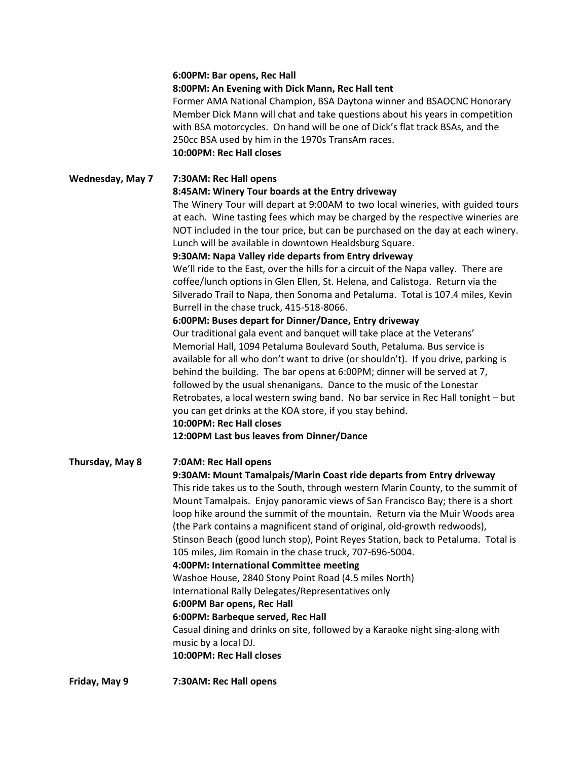#### **6:00PM: Bar opens, Rec Hall**

#### **8:00PM: An Evening with Dick Mann, Rec Hall tent**

Former AMA National Champion, BSA Daytona winner and BSAOCNC Honorary Member Dick Mann will chat and take questions about his years in competition with BSA motorcycles. On hand will be one of Dick's flat track BSAs, and the 250cc BSA used by him in the 1970s TransAm races. **10:00PM: Rec Hall closes** 

#### **Wednesday, May 7 7:30AM: Rec Hall opens 8:45AM: Winery Tour boards at the Entry driveway**

The Winery Tour will depart at 9:00AM to two local wineries, with guided tours at each. Wine tasting fees which may be charged by the respective wineries are NOT included in the tour price, but can be purchased on the day at each winery. Lunch will be available in downtown Healdsburg Square.

#### **9:30AM: Napa Valley ride departs from Entry driveway**

We'll ride to the East, over the hills for a circuit of the Napa valley. There are coffee/lunch options in Glen Ellen, St. Helena, and Calistoga. Return via the Silverado Trail to Napa, then Sonoma and Petaluma. Total is 107.4 miles, Kevin Burrell in the chase truck, 415-518-8066.

#### **6:00PM: Buses depart for Dinner/Dance, Entry driveway**

Our traditional gala event and banquet will take place at the Veterans' Memorial Hall, 1094 Petaluma Boulevard South, Petaluma. Bus service is available for all who don't want to drive (or shouldn't). If you drive, parking is behind the building. The bar opens at 6:00PM; dinner will be served at 7, followed by the usual shenanigans. Dance to the music of the Lonestar Retrobates, a local western swing band. No bar service in Rec Hall tonight – but you can get drinks at the KOA store, if you stay behind. **10:00PM: Rec Hall closes** 

## **12:00PM Last bus leaves from Dinner/Dance**

#### **Thursday, May 8 7:0AM: Rec Hall opens**

#### **9:30AM: Mount Tamalpais/Marin Coast ride departs from Entry driveway**

This ride takes us to the South, through western Marin County, to the summit of Mount Tamalpais. Enjoy panoramic views of San Francisco Bay; there is a short loop hike around the summit of the mountain. Return via the Muir Woods area (the Park contains a magnificent stand of original, old-growth redwoods), Stinson Beach (good lunch stop), Point Reyes Station, back to Petaluma. Total is 105 miles, Jim Romain in the chase truck, 707-696-5004.

### **4:00PM: International Committee meeting**

Washoe House, 2840 Stony Point Road (4.5 miles North)

International Rally Delegates/Representatives only

#### **6:00PM Bar opens, Rec Hall**

#### **6:00PM: Barbeque served, Rec Hall**

Casual dining and drinks on site, followed by a Karaoke night sing-along with music by a local DJ. **10:00PM: Rec Hall closes**